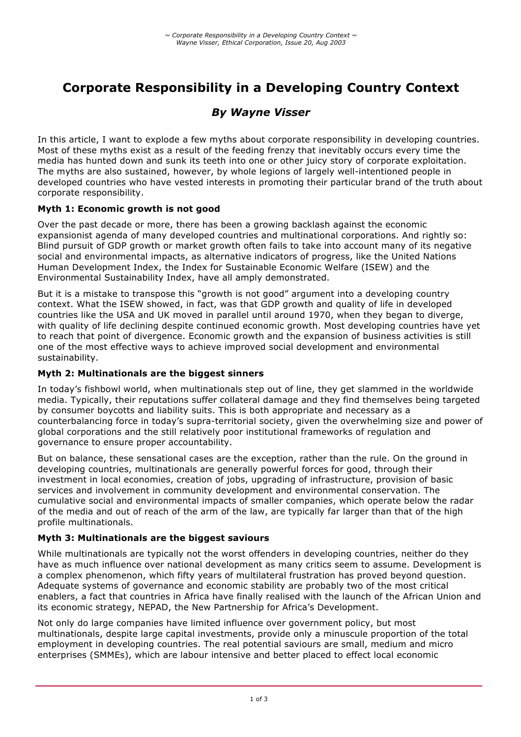# **Corporate Responsibility in a Developing Country Context**

# *By Wayne Visser*

In this article, I want to explode a few myths about corporate responsibility in developing countries. Most of these myths exist as a result of the feeding frenzy that inevitably occurs every time the media has hunted down and sunk its teeth into one or other juicy story of corporate exploitation. The myths are also sustained, however, by whole legions of largely well-intentioned people in developed countries who have vested interests in promoting their particular brand of the truth about corporate responsibility.

# **Myth 1: Economic growth is not good**

Over the past decade or more, there has been a growing backlash against the economic expansionist agenda of many developed countries and multinational corporations. And rightly so: Blind pursuit of GDP growth or market growth often fails to take into account many of its negative social and environmental impacts, as alternative indicators of progress, like the United Nations Human Development Index, the Index for Sustainable Economic Welfare (ISEW) and the Environmental Sustainability Index, have all amply demonstrated.

But it is a mistake to transpose this "growth is not good" argument into a developing country context. What the ISEW showed, in fact, was that GDP growth and quality of life in developed countries like the USA and UK moved in parallel until around 1970, when they began to diverge, with quality of life declining despite continued economic growth. Most developing countries have yet to reach that point of divergence. Economic growth and the expansion of business activities is still one of the most effective ways to achieve improved social development and environmental sustainability.

#### **Myth 2: Multinationals are the biggest sinners**

In today's fishbowl world, when multinationals step out of line, they get slammed in the worldwide media. Typically, their reputations suffer collateral damage and they find themselves being targeted by consumer boycotts and liability suits. This is both appropriate and necessary as a counterbalancing force in today's supra-territorial society, given the overwhelming size and power of global corporations and the still relatively poor institutional frameworks of regulation and governance to ensure proper accountability.

But on balance, these sensational cases are the exception, rather than the rule. On the ground in developing countries, multinationals are generally powerful forces for good, through their investment in local economies, creation of jobs, upgrading of infrastructure, provision of basic services and involvement in community development and environmental conservation. The cumulative social and environmental impacts of smaller companies, which operate below the radar of the media and out of reach of the arm of the law, are typically far larger than that of the high profile multinationals.

# **Myth 3: Multinationals are the biggest saviours**

While multinationals are typically not the worst offenders in developing countries, neither do they have as much influence over national development as many critics seem to assume. Development is a complex phenomenon, which fifty years of multilateral frustration has proved beyond question. Adequate systems of governance and economic stability are probably two of the most critical enablers, a fact that countries in Africa have finally realised with the launch of the African Union and its economic strategy, NEPAD, the New Partnership for Africa's Development.

Not only do large companies have limited influence over government policy, but most multinationals, despite large capital investments, provide only a minuscule proportion of the total employment in developing countries. The real potential saviours are small, medium and micro enterprises (SMMEs), which are labour intensive and better placed to effect local economic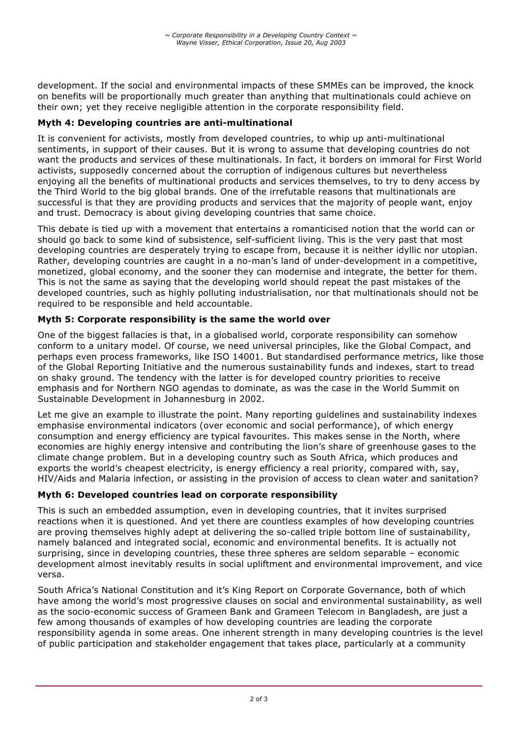development. If the social and environmental impacts of these SMMEs can be improved, the knock on benefits will be proportionally much greater than anything that multinationals could achieve on their own; yet they receive negligible attention in the corporate responsibility field.

# **Myth 4: Developing countries are anti-multinational**

It is convenient for activists, mostly from developed countries, to whip up anti-multinational sentiments, in support of their causes. But it is wrong to assume that developing countries do not want the products and services of these multinationals. In fact, it borders on immoral for First World activists, supposedly concerned about the corruption of indigenous cultures but nevertheless enjoying all the benefits of multinational products and services themselves, to try to deny access by the Third World to the big global brands. One of the irrefutable reasons that multinationals are successful is that they are providing products and services that the majority of people want, enjoy and trust. Democracy is about giving developing countries that same choice.

This debate is tied up with a movement that entertains a romanticised notion that the world can or should go back to some kind of subsistence, self-sufficient living. This is the very past that most developing countries are desperately trying to escape from, because it is neither idyllic nor utopian. Rather, developing countries are caught in a no-man's land of under-development in a competitive, monetized, global economy, and the sooner they can modernise and integrate, the better for them. This is not the same as saying that the developing world should repeat the past mistakes of the developed countries, such as highly polluting industrialisation, nor that multinationals should not be required to be responsible and held accountable.

#### **Myth 5: Corporate responsibility is the same the world over**

One of the biggest fallacies is that, in a globalised world, corporate responsibility can somehow conform to a unitary model. Of course, we need universal principles, like the Global Compact, and perhaps even process frameworks, like ISO 14001. But standardised performance metrics, like those of the Global Reporting Initiative and the numerous sustainability funds and indexes, start to tread on shaky ground. The tendency with the latter is for developed country priorities to receive emphasis and for Northern NGO agendas to dominate, as was the case in the World Summit on Sustainable Development in Johannesburg in 2002.

Let me give an example to illustrate the point. Many reporting guidelines and sustainability indexes emphasise environmental indicators (over economic and social performance), of which energy consumption and energy efficiency are typical favourites. This makes sense in the North, where economies are highly energy intensive and contributing the lion's share of greenhouse gases to the climate change problem. But in a developing country such as South Africa, which produces and exports the world's cheapest electricity, is energy efficiency a real priority, compared with, say, HIV/Aids and Malaria infection, or assisting in the provision of access to clean water and sanitation?

#### **Myth 6: Developed countries lead on corporate responsibility**

This is such an embedded assumption, even in developing countries, that it invites surprised reactions when it is questioned. And yet there are countless examples of how developing countries are proving themselves highly adept at delivering the so-called triple bottom line of sustainability, namely balanced and integrated social, economic and environmental benefits. It is actually not surprising, since in developing countries, these three spheres are seldom separable – economic development almost inevitably results in social upliftment and environmental improvement, and vice versa.

South Africa's National Constitution and it's King Report on Corporate Governance, both of which have among the world's most progressive clauses on social and environmental sustainability, as well as the socio-economic success of Grameen Bank and Grameen Telecom in Bangladesh, are just a few among thousands of examples of how developing countries are leading the corporate responsibility agenda in some areas. One inherent strength in many developing countries is the level of public participation and stakeholder engagement that takes place, particularly at a community